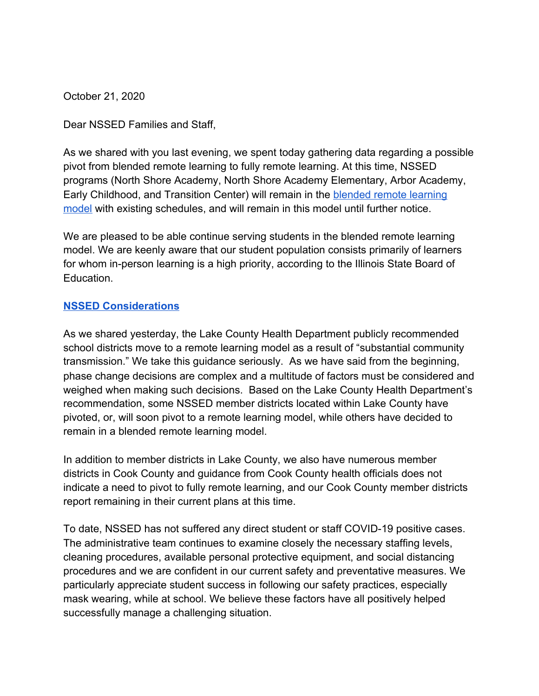October 21, 2020

Dear NSSED Families and Staff,

As we shared with you last evening, we spent today gathering data regarding a possible pivot from blended remote learning to fully remote learning. At this time, NSSED programs (North Shore Academy, North Shore Academy Elementary, Arbor Academy, Early Childhood, and Transition Center) will remain in the [blended remote learning](https://www.nssed.org/Page/378) [model](https://www.nssed.org/Page/378) with existing schedules, and will remain in this model until further notice.

We are pleased to be able continue serving students in the blended remote learning model. We are keenly aware that our student population consists primarily of learners for whom in-person learning is a high priority, according to the Illinois State Board of Education.

## **[NSSED Considerations](https://www.nssed.org/Page/394)**

As we shared yesterday, the Lake County Health Department publicly recommended school districts move to a remote learning model as a result of "substantial community transmission." We take this guidance seriously. As we have said from the beginning, phase change decisions are complex and a multitude of factors must be considered and weighed when making such decisions. Based on the Lake County Health Department's recommendation, some NSSED member districts located within Lake County have pivoted, or, will soon pivot to a remote learning model, while others have decided to remain in a blended remote learning model.

In addition to member districts in Lake County, we also have numerous member districts in Cook County and guidance from Cook County health officials does not indicate a need to pivot to fully remote learning, and our Cook County member districts report remaining in their current plans at this time.

To date, NSSED has not suffered any direct student or staff COVID-19 positive cases. The administrative team continues to examine closely the necessary staffing levels, cleaning procedures, available personal protective equipment, and social distancing procedures and we are confident in our current safety and preventative measures. We particularly appreciate student success in following our safety practices, especially mask wearing, while at school. We believe these factors have all positively helped successfully manage a challenging situation.